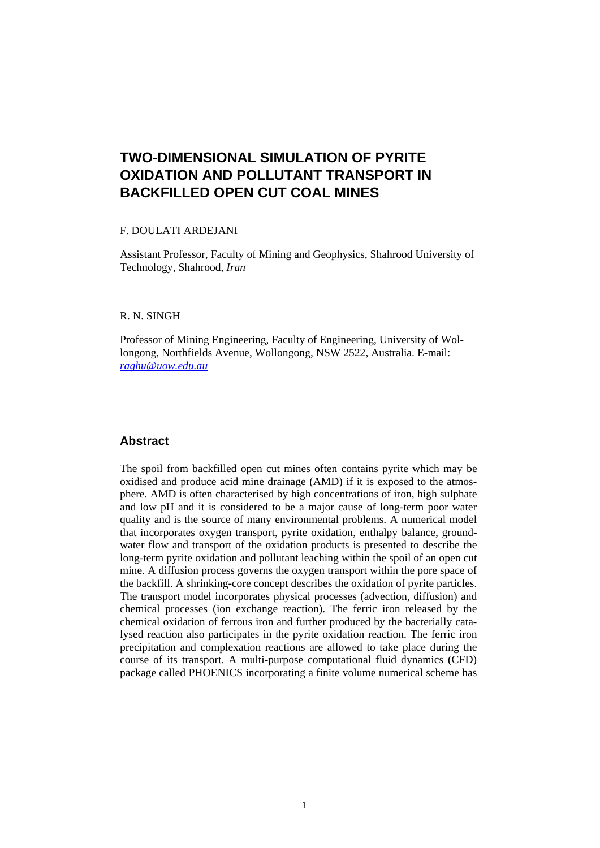# **TWO-DIMENSIONAL SIMULATION OF PYRITE OXIDATION AND POLLUTANT TRANSPORT IN BACKFILLED OPEN CUT COAL MINES**

### F. DOULATI ARDEJANI

Assistant Professor, Faculty of Mining and Geophysics, Shahrood University of Technology, Shahrood, *Iran* 

# R. N. SINGH

Professor of Mining Engineering, Faculty of Engineering, University of Wollongong, Northfields Avenue, Wollongong, NSW 2522, Australia. E-mail: *raghu@uow.edu.au*

# **Abstract**

The spoil from backfilled open cut mines often contains pyrite which may be oxidised and produce acid mine drainage (AMD) if it is exposed to the atmosphere. AMD is often characterised by high concentrations of iron, high sulphate and low pH and it is considered to be a major cause of long-term poor water quality and is the source of many environmental problems. A numerical model that incorporates oxygen transport, pyrite oxidation, enthalpy balance, groundwater flow and transport of the oxidation products is presented to describe the long-term pyrite oxidation and pollutant leaching within the spoil of an open cut mine. A diffusion process governs the oxygen transport within the pore space of the backfill. A shrinking-core concept describes the oxidation of pyrite particles. The transport model incorporates physical processes (advection, diffusion) and chemical processes (ion exchange reaction). The ferric iron released by the chemical oxidation of ferrous iron and further produced by the bacterially catalysed reaction also participates in the pyrite oxidation reaction. The ferric iron precipitation and complexation reactions are allowed to take place during the course of its transport. A multi-purpose computational fluid dynamics (CFD) package called PHOENICS incorporating a finite volume numerical scheme has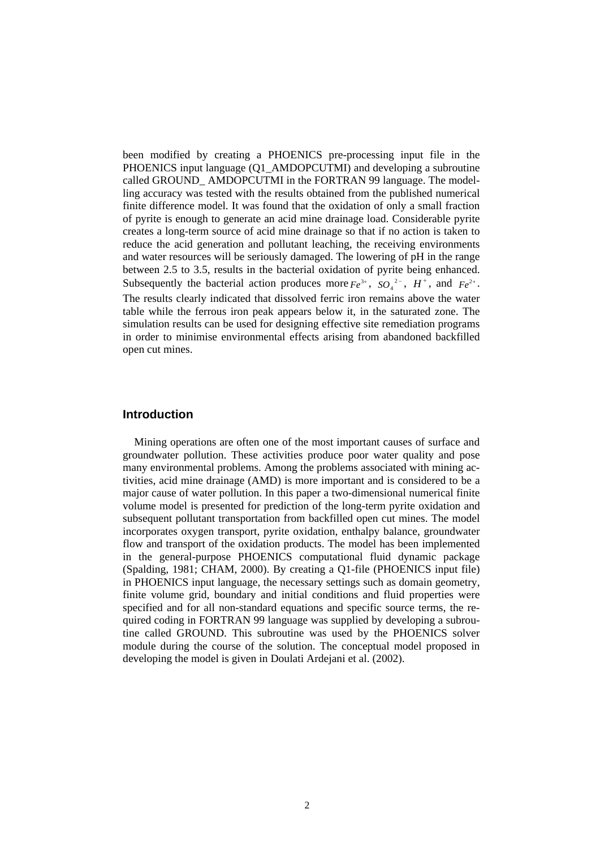been modified by creating a PHOENICS pre-processing input file in the PHOENICS input language (Q1\_AMDOPCUTMI) and developing a subroutine called GROUND\_ AMDOPCUTMI in the FORTRAN 99 language. The modelling accuracy was tested with the results obtained from the published numerical finite difference model. It was found that the oxidation of only a small fraction of pyrite is enough to generate an acid mine drainage load. Considerable pyrite creates a long-term source of acid mine drainage so that if no action is taken to reduce the acid generation and pollutant leaching, the receiving environments and water resources will be seriously damaged. The lowering of pH in the range between 2.5 to 3.5, results in the bacterial oxidation of pyrite being enhanced. Subsequently the bacterial action produces more  $Fe^{3+}$ ,  $SO_4^{2-}$ ,  $H^+$ , and  $Fe^{2+}$ . The results clearly indicated that dissolved ferric iron remains above the water table while the ferrous iron peak appears below it, in the saturated zone. The simulation results can be used for designing effective site remediation programs in order to minimise environmental effects arising from abandoned backfilled open cut mines.

# **Introduction**

Mining operations are often one of the most important causes of surface and groundwater pollution. These activities produce poor water quality and pose many environmental problems. Among the problems associated with mining activities, acid mine drainage (AMD) is more important and is considered to be a major cause of water pollution. In this paper a two-dimensional numerical finite volume model is presented for prediction of the long-term pyrite oxidation and subsequent pollutant transportation from backfilled open cut mines. The model incorporates oxygen transport, pyrite oxidation, enthalpy balance, groundwater flow and transport of the oxidation products. The model has been implemented in the general-purpose PHOENICS computational fluid dynamic package (Spalding, 1981; CHAM, 2000). By creating a Q1-file (PHOENICS input file) in PHOENICS input language, the necessary settings such as domain geometry, finite volume grid, boundary and initial conditions and fluid properties were specified and for all non-standard equations and specific source terms, the required coding in FORTRAN 99 language was supplied by developing a subroutine called GROUND. This subroutine was used by the PHOENICS solver module during the course of the solution. The conceptual model proposed in developing the model is given in Doulati Ardejani et al. (2002).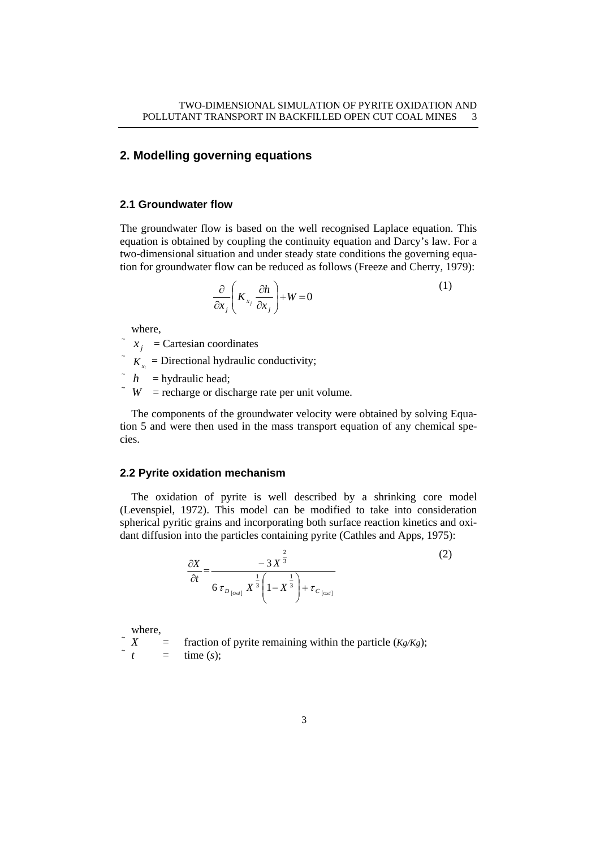# **2. Modelling governing equations**

# **2.1 Groundwater flow**

The groundwater flow is based on the well recognised Laplace equation. This equation is obtained by coupling the continuity equation and Darcy's law. For a two-dimensional situation and under steady state conditions the governing equation for groundwater flow can be reduced as follows (Freeze and Cherry, 1979):

$$
\frac{\partial}{\partial x_j} \left( K_{x_j} \frac{\partial h}{\partial x_j} \right) + W = 0 \tag{1}
$$

where,

 $x_i$  = Cartesian coordinates

 $K<sub>x</sub>$  = Directional hydraulic conductivity;

 $\hat{h}$  = hydraulic head;

 $W =$  recharge or discharge rate per unit volume.

The components of the groundwater velocity were obtained by solving Equation 5 and were then used in the mass transport equation of any chemical species.

#### **2.2 Pyrite oxidation mechanism**

The oxidation of pyrite is well described by a shrinking core model (Levenspiel, 1972). This model can be modified to take into consideration spherical pyritic grains and incorporating both surface reaction kinetics and oxidant diffusion into the particles containing pyrite (Cathles and Apps, 1975):

$$
\frac{\partial X}{\partial t} = \frac{-3 X^{\frac{2}{3}}}{6 \tau_{D_{[0\infty]}} X^{\frac{1}{3}} \left(1 - X^{\frac{1}{3}}\right) + \tau_{C_{[0\infty]}}}
$$
(2)

where,

 $X =$  fraction of pyrite remaining within the particle  $(Kg/Kg)$ ;  $=$  time  $(s)$ :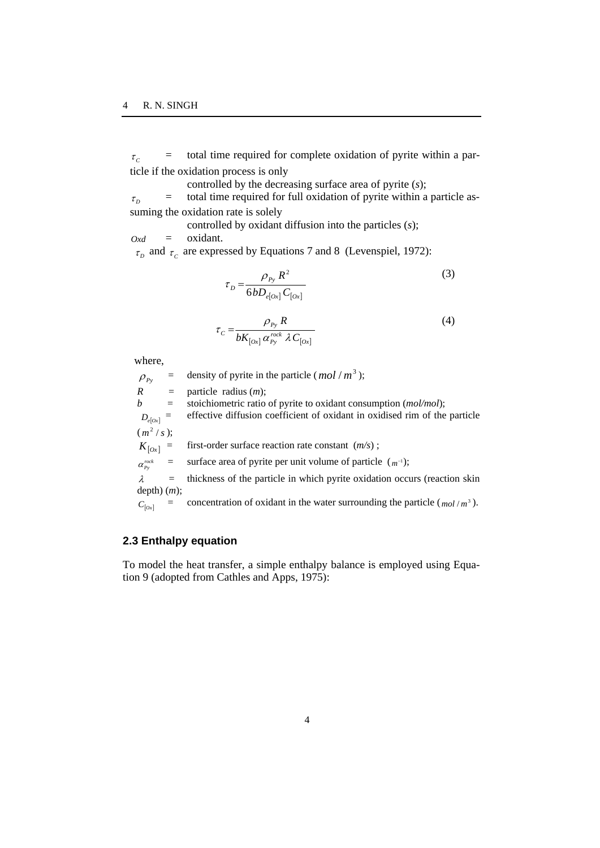$\tau_c$  = total time required for complete oxidation of pyrite within a particle if the oxidation process is only

controlled by the decreasing surface area of pyrite (*s*);

 $\tau_p$  = total time required for full oxidation of pyrite within a particle assuming the oxidation rate is solely

controlled by oxidant diffusion into the particles (*s*);

 $Oxd =$  oxidant.

 $\tau_p$  and  $\tau_c$  are expressed by Equations 7 and 8 (Levenspiel, 1972):

$$
\tau_D = \frac{\rho_{P_y} R^2}{6b D_{e[Ox]} C_{[Ox]}}
$$
\n(3)

$$
\tau_C = \frac{\rho_{P_y} R}{b K_{[\alpha x]} \alpha_{P_y}^{\text{rock}} \lambda C_{[\alpha x]}}
$$
(4)

where,

 $\rho_{Pv}$  = density of pyrite in the particle (*mol* / *m*<sup>3</sup>);  $R =$  particle radius  $(m)$ ; *b* = stoichiometric ratio of pyrite to oxidant consumption (*mol/mol*);  $D_{e[0x]}$  = effective diffusion coefficient of oxidant in oxidised rim of the particle  $(m<sup>2</sup>/s);$  $K_{[0x]}$  = first-order surface reaction rate constant  $(m/s)$ ;  $\alpha_{p_y}^{rock}$  = surface area of pyrite per unit volume of particle  $(m^{-1})$ ;  $\lambda$  = thickness of the particle in which pyrite oxidation occurs (reaction skin depth) (*m*);  $C_{[0x]}$  = concentration of oxidant in the water surrounding the particle ( $mol/m^3$ ).

# **2.3 Enthalpy equation**

To model the heat transfer, a simple enthalpy balance is employed using Equation 9 (adopted from Cathles and Apps, 1975):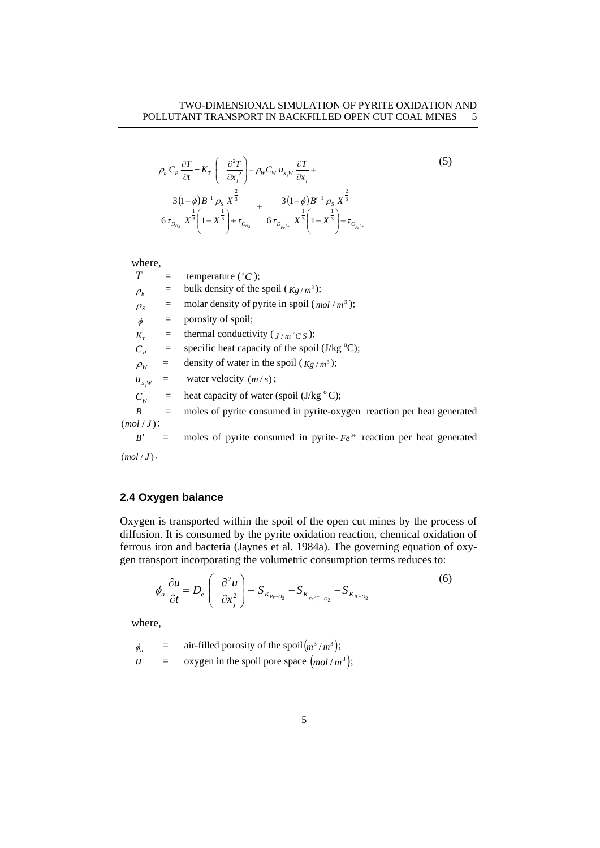$$
\rho_b C_P \frac{\partial T}{\partial t} = K_T \left( \frac{\partial^2 T}{\partial x_j^2} \right) - \rho_W C_W u_{x_j w} \frac{\partial T}{\partial x_j} +
$$
\n
$$
\frac{3(1-\phi)B^{-1} \rho_s X^{\frac{2}{3}}}{6 \tau_{D_{Q_2}} X^{\frac{1}{3}} \left(1 - X^{\frac{1}{3}}\right) + \tau_{C_{Q_2}}} + \frac{3(1-\phi)B'^{-1} \rho_s X^{\frac{2}{3}}}{6 \tau_{D_{P_s 3^*}} X^{\frac{1}{3}} \left(1 - X^{\frac{1}{3}}\right) + \tau_{C_{P_s 3^*}}}
$$
\n(5)

#### where,

| T                             | $=$ | temperature $(^{\circ}C)$ ;                                               |  |  |
|-------------------------------|-----|---------------------------------------------------------------------------|--|--|
| $\rho_{\scriptscriptstyle b}$ | $=$ | bulk density of the spoil $(Kg/m^3)$ ;                                    |  |  |
| $\rho_{\rm s}$                |     | molar density of pyrite in spoil $(mol/m3)$ ;                             |  |  |
| $\phi$                        | $=$ | porosity of spoil;                                                        |  |  |
| $K_{\tau}$                    | $=$ | thermal conductivity ( $J/m \degree C S$ );                               |  |  |
| $C_p$                         | $=$ | specific heat capacity of the spoil $(J/kg °C)$ ;                         |  |  |
| $\rho_{\scriptscriptstyle W}$ | $=$ | density of water in the spoil $(Kg/m^3)$ ;                                |  |  |
| $u_{x,w}$                     |     | water velocity $(m/s)$ ;                                                  |  |  |
| $C_w$                         |     | heat capacity of water (spoil $(J/kg °C)$ ;                               |  |  |
| B                             | $=$ | moles of pyrite consumed in pyrite-oxygen reaction per heat generated     |  |  |
| (mol/J);                      |     |                                                                           |  |  |
| B'                            | $=$ | moles of pyrite consumed in pyrite- $Fe^{3+}$ reaction per heat generated |  |  |

 $(mol / J)$ .

# **2.4 Oxygen balance**

Oxygen is transported within the spoil of the open cut mines by the process of diffusion. It is consumed by the pyrite oxidation reaction, chemical oxidation of ferrous iron and bacteria (Jaynes et al. 1984a). The governing equation of oxygen transport incorporating the volumetric consumption terms reduces to:

$$
\phi_a \frac{\partial u}{\partial t} = D_e \left( \frac{\partial^2 u}{\partial x_i^2} \right) - S_{K_{p_y - Q_2}} - S_{K_{p_e - Q_2}} - S_{K_{p - Q_2}} \tag{6}
$$

where,

 $\phi_a$  = air-filled porosity of the spoil $(m^3/m^3);$  $u = \alpha x$ ygen in the spoil pore space  $(mol/m^3);$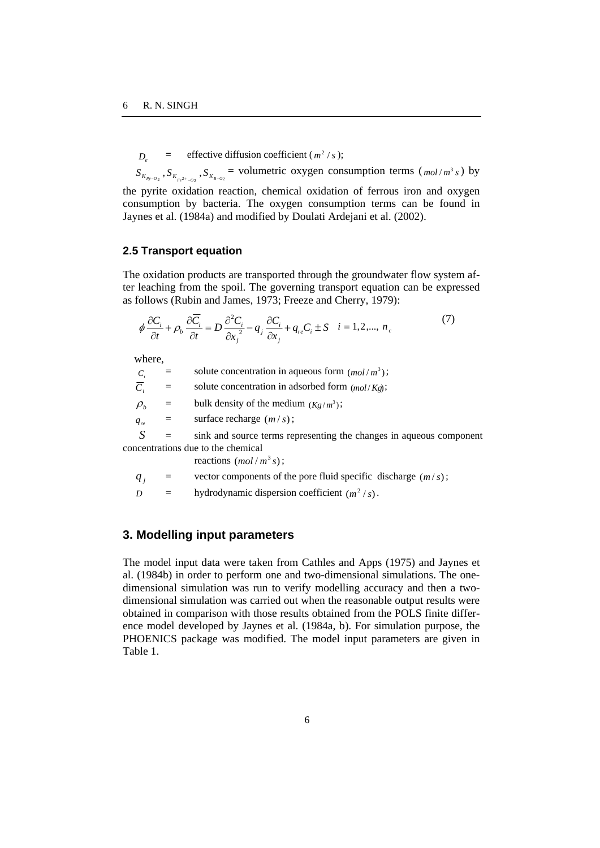$D =$  effective diffusion coefficient ( $m^2$ /s);

 $S_{K_{p_2\cdots p_2}}$ ,  $S_{K_{p_2\cdots p_2}}$ ,  $S_{K_{p_3\cdots p_2}}$  = volumetric oxygen consumption terms ( $mol/m^3 s$ ) by the pyrite oxidation reaction, chemical oxidation of ferrous iron and oxygen consumption by bacteria. The oxygen consumption terms can be found in Jaynes et al. (1984a) and modified by Doulati Ardejani et al. (2002).

### **2.5 Transport equation**

The oxidation products are transported through the groundwater flow system after leaching from the spoil. The governing transport equation can be expressed as follows (Rubin and James, 1973; Freeze and Cherry, 1979):

$$
\phi \frac{\partial C_i}{\partial t} + \rho_b \frac{\partial \overline{C_i}}{\partial t} = D \frac{\partial^2 C_i}{\partial x_i^2} - q_i \frac{\partial C_i}{\partial x_j} + q_{re} C_i \pm S \quad i = 1, 2, ..., n_c
$$
\n(7)

where,

| $C_i$                              |              | solute concentration in aqueous form $(mol/m3)$ ;                   |  |
|------------------------------------|--------------|---------------------------------------------------------------------|--|
| $\overline{C_i}$                   | $\equiv$     | solute concentration in adsorbed form $(mol/Kg)$ ;                  |  |
| $\rho_{\scriptscriptstyle h}$      | $=$          | bulk density of the medium $(Kg/m^3)$ ;                             |  |
| $q_{re}$                           | $\alpha = 1$ | surface recharge $(m/s)$ ;                                          |  |
|                                    | $\equiv$     | sink and source terms representing the changes in aqueous component |  |
| concentrations due to the chemical |              |                                                                     |  |

reactions  $(mol/m^3 s)$ ;

$$
q_j
$$
 = vector components of the pore fluid specific discharge  $(m/s)$ ;

*D* = hydrodynamic dispersion coefficient  $(m^2 / s)$ .

# **3. Modelling input parameters**

The model input data were taken from Cathles and Apps (1975) and Jaynes et al. (1984b) in order to perform one and two-dimensional simulations. The onedimensional simulation was run to verify modelling accuracy and then a twodimensional simulation was carried out when the reasonable output results were obtained in comparison with those results obtained from the POLS finite difference model developed by Jaynes et al. (1984a, b). For simulation purpose, the PHOENICS package was modified. The model input parameters are given in Table 1.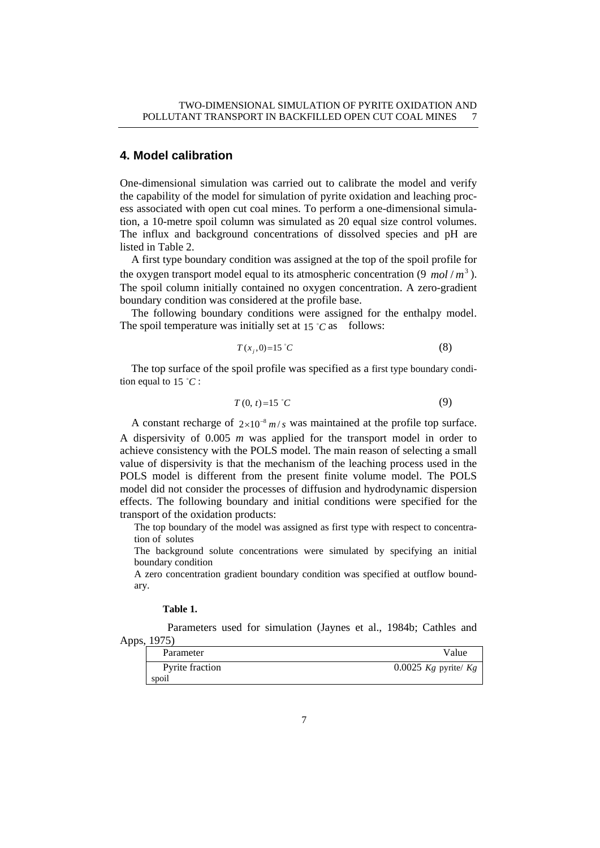# **4. Model calibration**

One-dimensional simulation was carried out to calibrate the model and verify the capability of the model for simulation of pyrite oxidation and leaching process associated with open cut coal mines. To perform a one-dimensional simulation, a 10-metre spoil column was simulated as 20 equal size control volumes. The influx and background concentrations of dissolved species and pH are listed in Table 2.

A first type boundary condition was assigned at the top of the spoil profile for the oxygen transport model equal to its atmospheric concentration  $(9 \text{ mol}/m^3)$ . The spoil column initially contained no oxygen concentration. A zero-gradient boundary condition was considered at the profile base.

The following boundary conditions were assigned for the enthalpy model. The spoil temperature was initially set at  $15^{\circ}$ C as follows:

$$
T(x_j,0)=15^{\circ}C\tag{8}
$$

The top surface of the spoil profile was specified as a first type boundary condition equal to  $15 \degree C$ :

$$
T(0, t)=15 \text{ }^{\circ}C \tag{9}
$$

A constant recharge of  $2 \times 10^{-8}$  *m/s* was maintained at the profile top surface. A dispersivity of 0.005 *m* was applied for the transport model in order to achieve consistency with the POLS model. The main reason of selecting a small value of dispersivity is that the mechanism of the leaching process used in the POLS model is different from the present finite volume model. The POLS model did not consider the processes of diffusion and hydrodynamic dispersion effects. The following boundary and initial conditions were specified for the transport of the oxidation products:

The top boundary of the model was assigned as first type with respect to concentration of solutes

The background solute concentrations were simulated by specifying an initial boundary condition

A zero concentration gradient boundary condition was specified at outflow boundary.

#### **Table 1.**

 Parameters used for simulation (Jaynes et al., 1984b; Cathles and Apps, 1975)

| Parameter                | Value                    |
|--------------------------|--------------------------|
| Pyrite fraction<br>spoil | 0.0025 $Kg$ pyrite/ $Kg$ |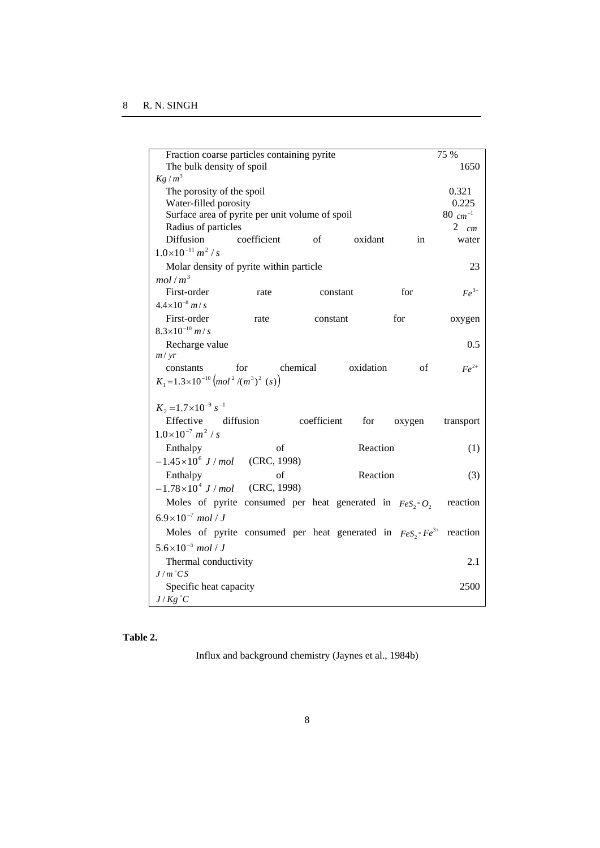| Fraction coarse particles containing pyrite                           |                                   |           |        | 75 %            |  |
|-----------------------------------------------------------------------|-----------------------------------|-----------|--------|-----------------|--|
| $Kg/m^3$                                                              | The bulk density of spoil<br>1650 |           |        |                 |  |
| The porosity of the spoil                                             | 0.321                             |           |        |                 |  |
| Water-filled porosity                                                 |                                   |           |        | 0.225           |  |
| Surface area of pyrite per unit volume of spoil                       |                                   |           |        | $80 \, cm^{-1}$ |  |
| Radius of particles                                                   |                                   |           |        | 2 $cm$          |  |
| <b>Diffusion</b><br>coefficient                                       | $\sigma$ of                       | oxidant   | in     | water           |  |
| $1.0\times10^{-11} m^2/s$                                             |                                   |           |        |                 |  |
| Molar density of pyrite within particle                               |                                   |           |        | 23              |  |
| mol/m <sup>3</sup>                                                    |                                   |           |        |                 |  |
| First-order<br>rate                                                   |                                   | constant  | for    | $Fe^{3+}$       |  |
| $4.4 \times 10^{-8}$ m/s                                              |                                   |           |        |                 |  |
| First-order<br>rate                                                   | constant                          |           | for    | oxygen          |  |
| $8.3\times10^{-10}$ m/s                                               |                                   |           |        |                 |  |
| Recharge value                                                        |                                   |           |        | 0.5             |  |
| m / yr                                                                |                                   |           |        |                 |  |
| for<br>constants                                                      | chemical                          | oxidation | of     | $Fe^{2+}$       |  |
| $K_1 = 1.3 \times 10^{-10} (mol^2/(m^3)^2)(s)$                        |                                   |           |        |                 |  |
| $K_2 = 1.7 \times 10^{-9} s^{-1}$                                     |                                   |           |        |                 |  |
| Effective diffusion                                                   | coefficient                       | for       |        |                 |  |
| $1.0\times10^{-7}$ m <sup>2</sup> / s                                 |                                   |           | oxygen | transport       |  |
| Enthalpy<br>of                                                        |                                   | Reaction  |        | (1)             |  |
| $-1.45 \times 10^6$ J / mol (CRC, 1998)                               |                                   |           |        |                 |  |
| of<br>Enthalpy                                                        |                                   | Reaction  |        | (3)             |  |
| $-1.78 \times 10^4$ J / mol (CRC, 1998)                               |                                   |           |        |                 |  |
|                                                                       |                                   |           |        |                 |  |
| Moles of pyrite consumed per heat generated in $FeS_2$ - $O_2$        |                                   |           |        | reaction        |  |
| $6.9\times10^{-7}$ mol / J                                            |                                   |           |        |                 |  |
| Moles of pyrite consumed per heat generated in $FeS2 - Fe3+$ reaction |                                   |           |        |                 |  |
| $5.6 \times 10^{-5}$ mol / J                                          |                                   |           |        |                 |  |
| Thermal conductivity<br>2.1                                           |                                   |           |        |                 |  |
| $J/m$ °CS                                                             |                                   |           |        |                 |  |
| Specific heat capacity                                                |                                   |           |        | 2500            |  |
| $J/Kg$ °C                                                             |                                   |           |        |                 |  |

# **Table 2.**

Influx and background chemistry (Jaynes et al., 1984b)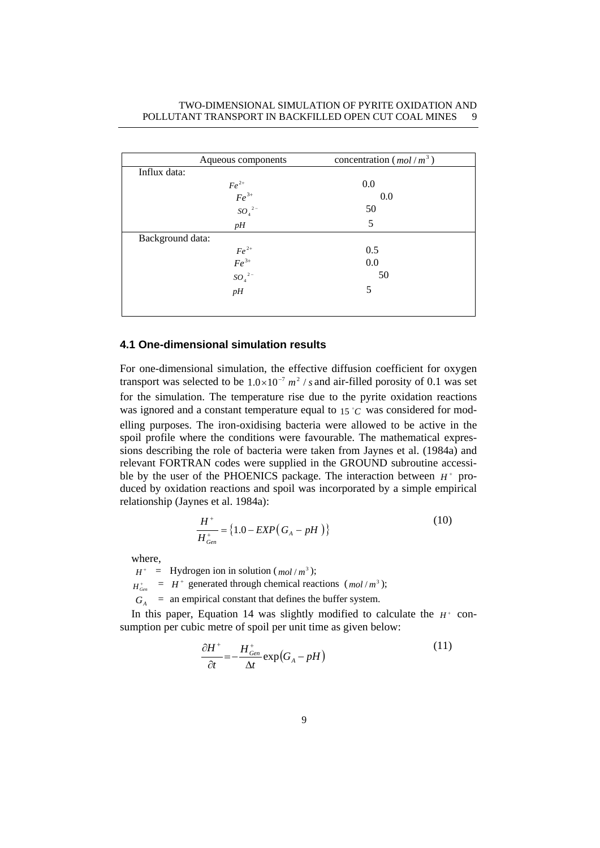### TWO-DIMENSIONAL SIMULATION OF PYRITE OXIDATION AND POLLUTANT TRANSPORT IN BACKFILLED OPEN CUT COAL MINES 9

|                  | Aqueous components                             | concentration ( $mol/m3$ ) |  |
|------------------|------------------------------------------------|----------------------------|--|
| Influx data:     |                                                |                            |  |
|                  |                                                | 0.0                        |  |
|                  |                                                | 0.0                        |  |
|                  | $Fe^{2+}$<br>$Fe^{3+}$<br>$SO_4$ <sup>2-</sup> | 50                         |  |
|                  | pH                                             | 5                          |  |
| Background data: |                                                |                            |  |
|                  |                                                | 0.5                        |  |
|                  |                                                | 0.0                        |  |
|                  | $\frac{Fe^{2+}}{Fe^{3+}}$<br>$SO_4{}^{2-}$     | 50                         |  |
|                  | pH                                             | 5                          |  |
|                  |                                                |                            |  |

#### **4.1 One-dimensional simulation results**

For one-dimensional simulation, the effective diffusion coefficient for oxygen transport was selected to be  $1.0 \times 10^{-7}$   $m^2$  / *s* and air-filled porosity of 0.1 was set for the simulation. The temperature rise due to the pyrite oxidation reactions was ignored and a constant temperature equal to  $15 °C$  was considered for modelling purposes. The iron-oxidising bacteria were allowed to be active in the spoil profile where the conditions were favourable. The mathematical expressions describing the role of bacteria were taken from Jaynes et al. (1984a) and relevant FORTRAN codes were supplied in the GROUND subroutine accessible by the user of the PHOENICS package. The interaction between  $H^+$  produced by oxidation reactions and spoil was incorporated by a simple empirical relationship (Jaynes et al. 1984a):

$$
\frac{H^+}{H^+_{Gen}} = \{1.0 - EXP(G_A - pH)\}\tag{10}
$$

where,

 $H^+$  = Hydrogen ion in solution ( $mol/m^3$ );

 $H_{Gm}^{+} = H^{+}$  generated through chemical reactions  $(mol/m^{3})$ ;

 $G_A$  = an empirical constant that defines the buffer system.

In this paper, Equation 14 was slightly modified to calculate the  $H^+$  consumption per cubic metre of spoil per unit time as given below:

$$
\frac{\partial H^+}{\partial t} = -\frac{H^+_{Gen}}{\Delta t} \exp\left(G_A - pH\right) \tag{11}
$$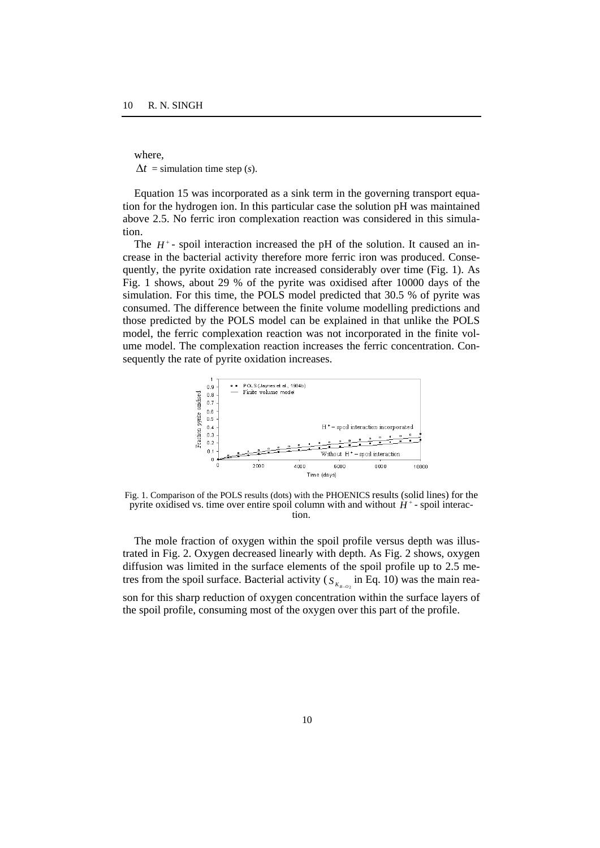where,  $\Delta t$  = simulation time step (*s*).

Equation 15 was incorporated as a sink term in the governing transport equation for the hydrogen ion. In this particular case the solution pH was maintained above 2.5. No ferric iron complexation reaction was considered in this simulation.

The  $H^+$ - spoil interaction increased the pH of the solution. It caused an increase in the bacterial activity therefore more ferric iron was produced. Consequently, the pyrite oxidation rate increased considerably over time (Fig. 1). As Fig. 1 shows, about 29 % of the pyrite was oxidised after 10000 days of the simulation. For this time, the POLS model predicted that 30.5 % of pyrite was consumed. The difference between the finite volume modelling predictions and those predicted by the POLS model can be explained in that unlike the POLS model, the ferric complexation reaction was not incorporated in the finite volume model. The complexation reaction increases the ferric concentration. Consequently the rate of pyrite oxidation increases.



Fig. 1. Comparison of the POLS results (dots) with the PHOENICS results (solid lines) for the pyrite oxidised vs. time over entire spoil column with and without  $H^+$ -spoil interaction.

The mole fraction of oxygen within the spoil profile versus depth was illustrated in Fig. 2. Oxygen decreased linearly with depth. As Fig. 2 shows, oxygen diffusion was limited in the surface elements of the spoil profile up to 2.5 metres from the spoil surface. Bacterial activity ( $S_{K_{B-02}}$  in Eq. 10) was the main reason for this sharp reduction of oxygen concentration within the surface layers of the spoil profile, consuming most of the oxygen over this part of the profile.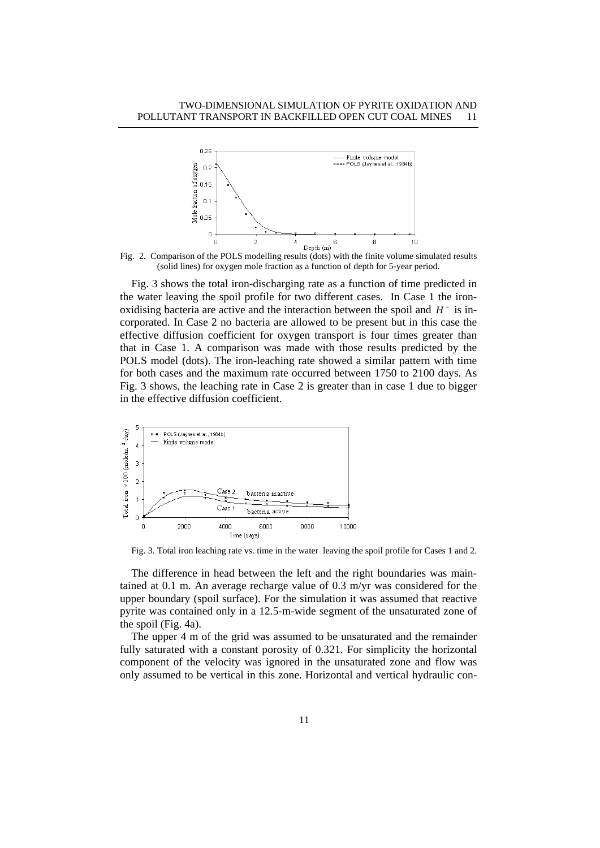

Fig. 2. Comparison of the POLS modelling results (dots) with the finite volume simulated results (solid lines) for oxygen mole fraction as a function of depth for 5-year period.

Fig. 3 shows the total iron-discharging rate as a function of time predicted in the water leaving the spoil profile for two different cases. In Case 1 the ironoxidising bacteria are active and the interaction between the spoil and  $H^+$  is incorporated. In Case 2 no bacteria are allowed to be present but in this case the effective diffusion coefficient for oxygen transport is four times greater than that in Case 1. A comparison was made with those results predicted by the POLS model (dots). The iron-leaching rate showed a similar pattern with time for both cases and the maximum rate occurred between 1750 to 2100 days. As Fig. 3 shows, the leaching rate in Case 2 is greater than in case 1 due to bigger in the effective diffusion coefficient.



Fig. 3. Total iron leaching rate vs. time in the water leaving the spoil profile for Cases 1 and 2.

The difference in head between the left and the right boundaries was maintained at 0.1 m. An average recharge value of 0.3 m/yr was considered for the upper boundary (spoil surface). For the simulation it was assumed that reactive pyrite was contained only in a 12.5-m-wide segment of the unsaturated zone of the spoil (Fig. 4a).

The upper 4 m of the grid was assumed to be unsaturated and the remainder fully saturated with a constant porosity of 0.321. For simplicity the horizontal component of the velocity was ignored in the unsaturated zone and flow was only assumed to be vertical in this zone. Horizontal and vertical hydraulic con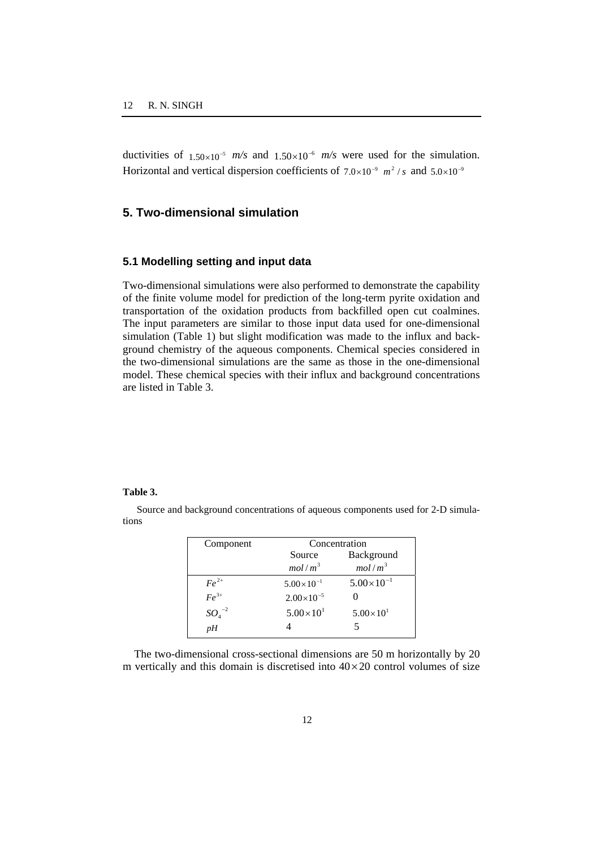ductivities of  $1.50 \times 10^{-5}$  *m/s* and  $1.50 \times 10^{-6}$  *m/s* were used for the simulation. Horizontal and vertical dispersion coefficients of  $7.0 \times 10^{-9}$   $m^2/s$  and  $5.0 \times 10^{-9}$ 

# **5. Two-dimensional simulation**

#### **5.1 Modelling setting and input data**

Two-dimensional simulations were also performed to demonstrate the capability of the finite volume model for prediction of the long-term pyrite oxidation and transportation of the oxidation products from backfilled open cut coalmines. The input parameters are similar to those input data used for one-dimensional simulation (Table 1) but slight modification was made to the influx and background chemistry of the aqueous components. Chemical species considered in the two-dimensional simulations are the same as those in the one-dimensional model. These chemical species with their influx and background concentrations are listed in Table 3.

#### **Table 3.**

 Source and background concentrations of aqueous components used for 2-D simulations

| Component    | Concentration         |                     |  |
|--------------|-----------------------|---------------------|--|
|              | Source                | Background          |  |
|              | mol/m <sup>3</sup>    | mol/m <sup>3</sup>  |  |
| $F\rho^{2+}$ | $5.00 \times 10^{-1}$ | $5.00\times10^{-1}$ |  |
| $Fe^{3+}$    | $2.00\times10^{-5}$   |                     |  |
| $SO_4^{-2}$  | $5.00 \times 10^{1}$  | $5.00\times10^{1}$  |  |
| pH           |                       | 5                   |  |

The two-dimensional cross-sectional dimensions are 50 m horizontally by 20 m vertically and this domain is discretised into  $40 \times 20$  control volumes of size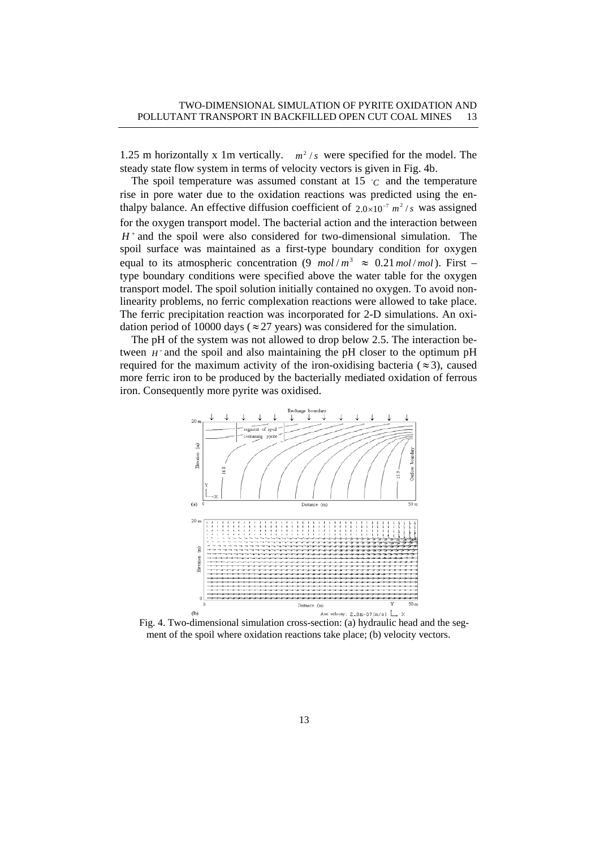1.25 m horizontally x 1m vertically.  $m^2/s$  were specified for the model. The steady state flow system in terms of velocity vectors is given in Fig. 4b.

The spoil temperature was assumed constant at  $15$   $\degree$ C and the temperature rise in pore water due to the oxidation reactions was predicted using the enthalpy balance. An effective diffusion coefficient of  $2.0 \times 10^{-7}$   $m^2/s$  was assigned for the oxygen transport model. The bacterial action and the interaction between  $H^+$  and the spoil were also considered for two-dimensional simulation. The spoil surface was maintained as a first-type boundary condition for oxygen equal to its atmospheric concentration (9  $mol/m^3 \approx 0.21 \text{ mol/mol}$ ). First – type boundary conditions were specified above the water table for the oxygen transport model. The spoil solution initially contained no oxygen. To avoid nonlinearity problems, no ferric complexation reactions were allowed to take place. The ferric precipitation reaction was incorporated for 2-D simulations. An oxidation period of 10000 days ( $\approx$  27 years) was considered for the simulation.

The pH of the system was not allowed to drop below 2.5. The interaction between  $H^+$  and the spoil and also maintaining the pH closer to the optimum pH required for the maximum activity of the iron-oxidising bacteria ( $\approx$ 3), caused more ferric iron to be produced by the bacterially mediated oxidation of ferrous iron. Consequently more pyrite was oxidised.



Fig. 4. Two-dimensional simulation cross-section: (a) hydraulic head and the segment of the spoil where oxidation reactions take place; (b) velocity vectors.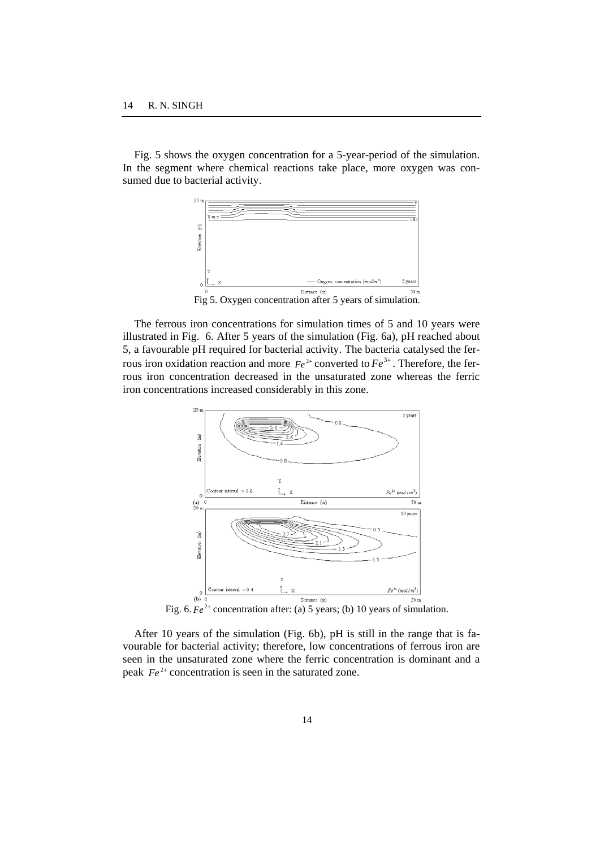Fig. 5 shows the oxygen concentration for a 5-year-period of the simulation. In the segment where chemical reactions take place, more oxygen was consumed due to bacterial activity.



The ferrous iron concentrations for simulation times of 5 and 10 years were illustrated in Fig. 6. After 5 years of the simulation (Fig. 6a), pH reached about 5, a favourable pH required for bacterial activity. The bacteria catalysed the ferrous iron oxidation reaction and more  $Fe^{2+}$  converted to  $Fe^{3+}$ . Therefore, the ferrous iron concentration decreased in the unsaturated zone whereas the ferric iron concentrations increased considerably in this zone.



Fig. 6.  $Fe^{2+}$  concentration after: (a) 5 years; (b) 10 years of simulation.

After 10 years of the simulation (Fig. 6b), pH is still in the range that is favourable for bacterial activity; therefore, low concentrations of ferrous iron are seen in the unsaturated zone where the ferric concentration is dominant and a peak  $Fe^{2+}$  concentration is seen in the saturated zone.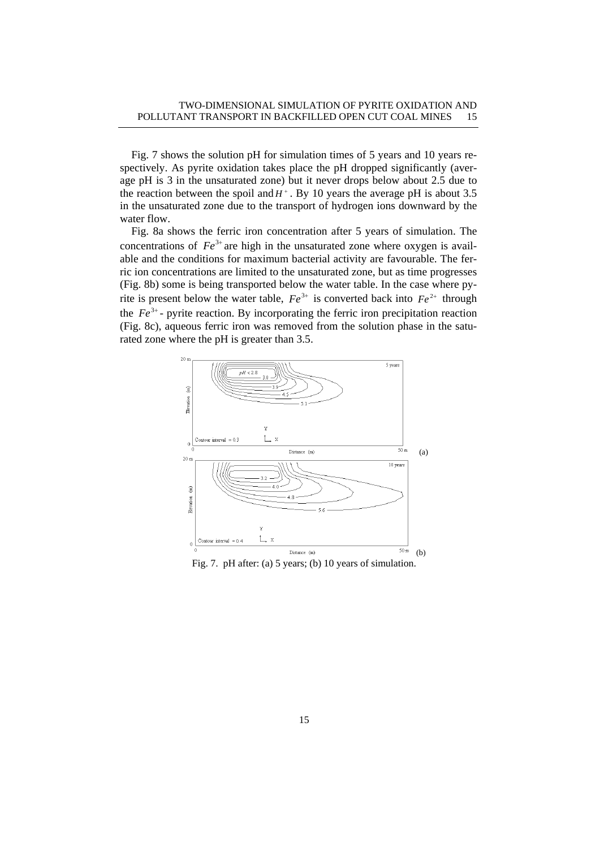Fig. 7 shows the solution pH for simulation times of 5 years and 10 years respectively. As pyrite oxidation takes place the pH dropped significantly (average pH is 3 in the unsaturated zone) but it never drops below about 2.5 due to the reaction between the spoil and  $H^+$ . By 10 years the average pH is about 3.5 in the unsaturated zone due to the transport of hydrogen ions downward by the water flow.

Fig. 8a shows the ferric iron concentration after 5 years of simulation. The concentrations of  $Fe^{3+}$  are high in the unsaturated zone where oxygen is available and the conditions for maximum bacterial activity are favourable. The ferric ion concentrations are limited to the unsaturated zone, but as time progresses (Fig. 8b) some is being transported below the water table. In the case where pyrite is present below the water table,  $Fe^{3+}$  is converted back into  $Fe^{2+}$  through the  $Fe<sup>3+</sup>$ - pyrite reaction. By incorporating the ferric iron precipitation reaction (Fig. 8c), aqueous ferric iron was removed from the solution phase in the saturated zone where the pH is greater than 3.5.



15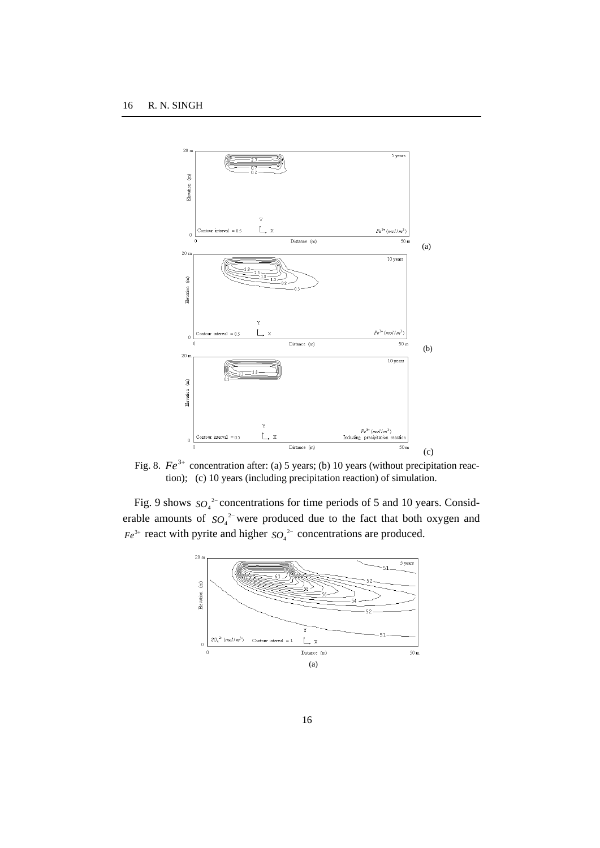

Fig. 8.  $Fe^{3+}$  concentration after: (a) 5 years; (b) 10 years (without precipitation reaction); (c) 10 years (including precipitation reaction) of simulation.

Fig. 9 shows  $SO_4^2$ <sup>-</sup> concentrations for time periods of 5 and 10 years. Considerable amounts of  $SO_4^2$  were produced due to the fact that both oxygen and  $Fe^{3+}$  react with pyrite and higher  $SO_4^2$ <sup>-</sup> concentrations are produced.

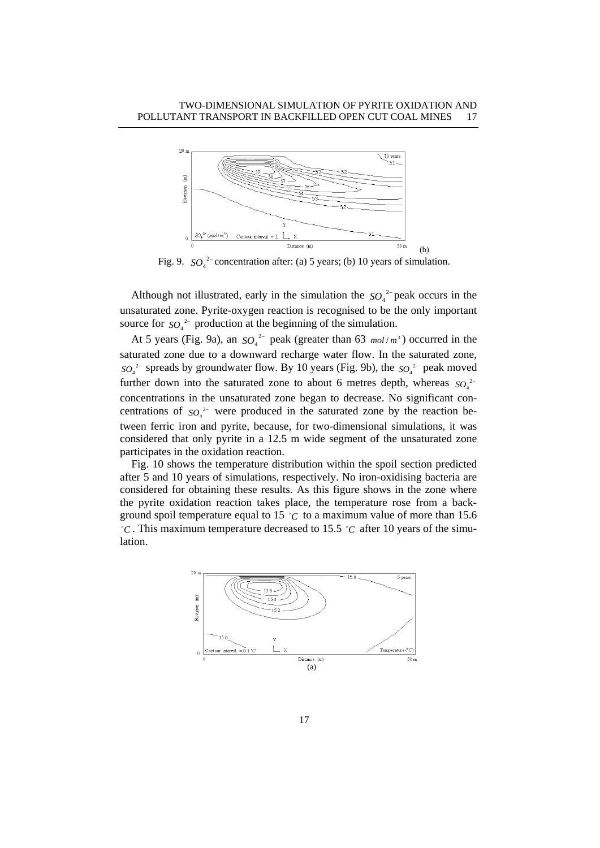

Fig. 9.  $SO_4^2$  concentration after: (a) 5 years; (b) 10 years of simulation.

Although not illustrated, early in the simulation the  $SO_4^2$  peak occurs in the unsaturated zone. Pyrite-oxygen reaction is recognised to be the only important source for  $SO_4^2$ <sup>-</sup> production at the beginning of the simulation.

At 5 years (Fig. 9a), an  $SO_4^2$  peak (greater than 63  $mol/m^3$ ) occurred in the saturated zone due to a downward recharge water flow. In the saturated zone,  $SO_4^2$ <sup>-</sup> spreads by groundwater flow. By 10 years (Fig. 9b), the  $SO_4^2$ <sup>-</sup> peak moved further down into the saturated zone to about 6 metres depth, whereas  $SO_4^2$ concentrations in the unsaturated zone began to decrease. No significant concentrations of so<sub>4</sub><sup>2−</sup> were produced in the saturated zone by the reaction between ferric iron and pyrite, because, for two-dimensional simulations, it was considered that only pyrite in a 12.5 m wide segment of the unsaturated zone participates in the oxidation reaction.

Fig. 10 shows the temperature distribution within the spoil section predicted after 5 and 10 years of simulations, respectively. No iron-oxidising bacteria are considered for obtaining these results. As this figure shows in the zone where the pyrite oxidation reaction takes place, the temperature rose from a background spoil temperature equal to 15  $\degree$ C to a maximum value of more than 15.6  $^{\circ}$ C. This maximum temperature decreased to 15.5  $^{\circ}$ C after 10 years of the simulation.

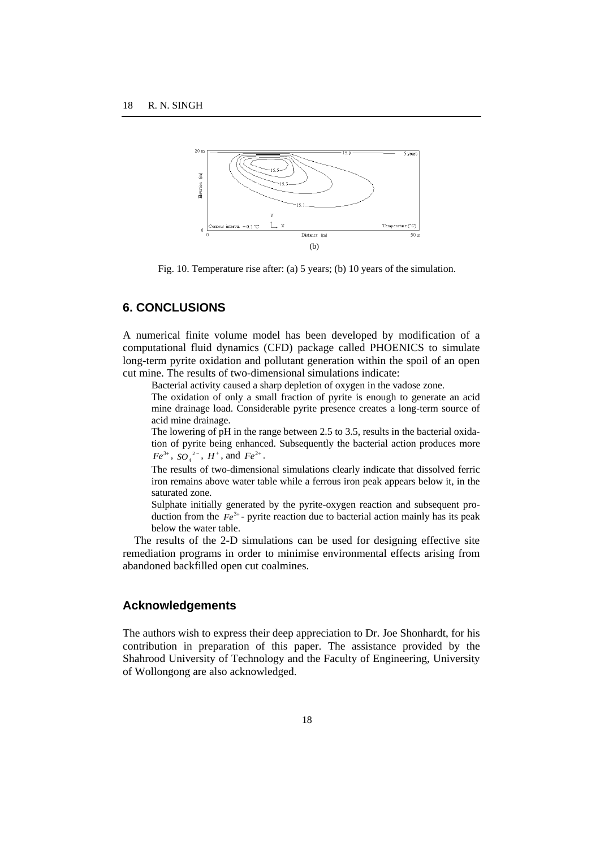

Fig. 10. Temperature rise after: (a) 5 years; (b) 10 years of the simulation.

# **6. CONCLUSIONS**

A numerical finite volume model has been developed by modification of a computational fluid dynamics (CFD) package called PHOENICS to simulate long-term pyrite oxidation and pollutant generation within the spoil of an open cut mine. The results of two-dimensional simulations indicate:

Bacterial activity caused a sharp depletion of oxygen in the vadose zone.

 The oxidation of only a small fraction of pyrite is enough to generate an acid mine drainage load. Considerable pyrite presence creates a long-term source of acid mine drainage.

 The lowering of pH in the range between 2.5 to 3.5, results in the bacterial oxidation of pyrite being enhanced. Subsequently the bacterial action produces more  $Fe^{3+}$ ,  $SO_4^{2-}$ ,  $H^+$ , and  $Fe^{2+}$ .

 The results of two-dimensional simulations clearly indicate that dissolved ferric iron remains above water table while a ferrous iron peak appears below it, in the saturated zone.

 Sulphate initially generated by the pyrite-oxygen reaction and subsequent production from the  $Fe^{3+}$ - pyrite reaction due to bacterial action mainly has its peak below the water table.

The results of the 2-D simulations can be used for designing effective site remediation programs in order to minimise environmental effects arising from abandoned backfilled open cut coalmines.

### **Acknowledgements**

The authors wish to express their deep appreciation to Dr. Joe Shonhardt, for his contribution in preparation of this paper. The assistance provided by the Shahrood University of Technology and the Faculty of Engineering, University of Wollongong are also acknowledged.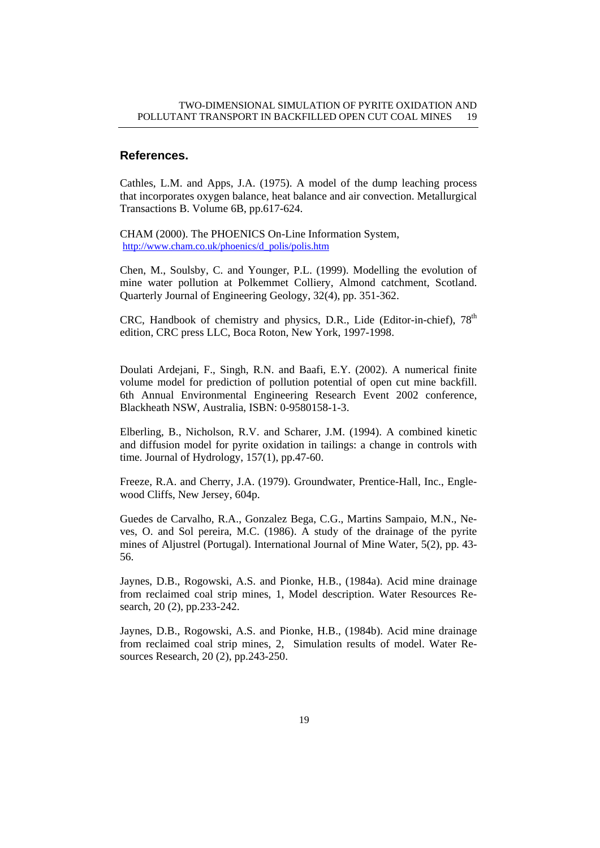## **References.**

Cathles, L.M. and Apps, J.A. (1975). A model of the dump leaching process that incorporates oxygen balance, heat balance and air convection. Metallurgical Transactions B. Volume 6B, pp.617-624.

CHAM (2000). The PHOENICS On-Line Information System, http://www.cham.co.uk/phoenics/d\_polis/polis.htm

Chen, M., Soulsby, C. and Younger, P.L. (1999). Modelling the evolution of mine water pollution at Polkemmet Colliery, Almond catchment, Scotland. Quarterly Journal of Engineering Geology, 32(4), pp. 351-362.

CRC, Handbook of chemistry and physics, D.R., Lide (Editor-in-chief),  $78<sup>th</sup>$ edition, CRC press LLC, Boca Roton, New York, 1997-1998.

Doulati Ardejani, F., Singh, R.N. and Baafi, E.Y. (2002). A numerical finite volume model for prediction of pollution potential of open cut mine backfill. 6th Annual Environmental Engineering Research Event 2002 conference, Blackheath NSW, Australia, ISBN: 0-9580158-1-3.

Elberling, B., Nicholson, R.V. and Scharer, J.M. (1994). A combined kinetic and diffusion model for pyrite oxidation in tailings: a change in controls with time. Journal of Hydrology,  $157(1)$ , pp.47-60.

Freeze, R.A. and Cherry, J.A. (1979). Groundwater, Prentice-Hall, Inc., Englewood Cliffs, New Jersey, 604p.

Guedes de Carvalho, R.A., Gonzalez Bega, C.G., Martins Sampaio, M.N., Neves, O. and Sol pereira, M.C. (1986). A study of the drainage of the pyrite mines of Aljustrel (Portugal). International Journal of Mine Water, 5(2), pp. 43- 56.

Jaynes, D.B., Rogowski, A.S. and Pionke, H.B., (1984a). Acid mine drainage from reclaimed coal strip mines, 1, Model description. Water Resources Research, 20 (2), pp.233-242.

Jaynes, D.B., Rogowski, A.S. and Pionke, H.B., (1984b). Acid mine drainage from reclaimed coal strip mines, 2, Simulation results of model. Water Resources Research, 20 (2), pp.243-250.